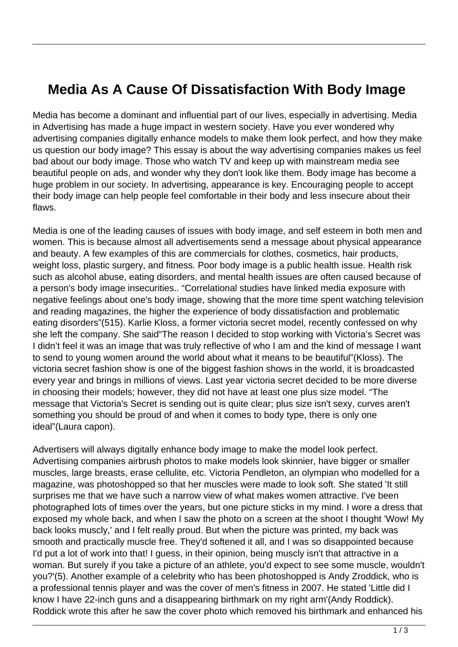## **Media As A Cause Of Dissatisfaction With Body Image**

Media has become a dominant and influential part of our lives, especially in advertising. Media in Advertising has made a huge impact in western society. Have you ever wondered why advertising companies digitally enhance models to make them look perfect, and how they make us question our body image? This essay is about the way advertising companies makes us feel bad about our body image. Those who watch TV and keep up with mainstream media see beautiful people on ads, and wonder why they don't look like them. Body image has become a huge problem in our society. In advertising, appearance is key. Encouraging people to accept their body image can help people feel comfortable in their body and less insecure about their flaws.

Media is one of the leading causes of issues with body image, and self esteem in both men and women. This is because almost all advertisements send a message about physical appearance and beauty. A few examples of this are commercials for clothes, cosmetics, hair products, weight loss, plastic surgery, and fitness. Poor body image is a public health issue. Health risk such as alcohol abuse, eating disorders, and mental health issues are often caused because of a person's body image insecurities.. "Correlational studies have linked media exposure with negative feelings about one's body image, showing that the more time spent watching television and reading magazines, the higher the experience of body dissatisfaction and problematic eating disorders"(515). Karlie Kloss, a former victoria secret model, recently confessed on why she left the company. She said"The reason I decided to stop working with Victoria's Secret was I didn't feel it was an image that was truly reflective of who I am and the kind of message I want to send to young women around the world about what it means to be beautiful"(Kloss). The victoria secret fashion show is one of the biggest fashion shows in the world, it is broadcasted every year and brings in millions of views. Last year victoria secret decided to be more diverse in choosing their models; however, they did not have at least one plus size model. "The message that Victoria's Secret is sending out is quite clear; plus size isn't sexy, curves aren't something you should be proud of and when it comes to body type, there is only one ideal"(Laura capon).

Advertisers will always digitally enhance body image to make the model look perfect. Advertising companies airbrush photos to make models look skinnier, have bigger or smaller muscles, large breasts, erase cellulite, etc. Victoria Pendleton, an olympian who modelled for a magazine, was photoshopped so that her muscles were made to look soft. She stated 'It still surprises me that we have such a narrow view of what makes women attractive. I've been photographed lots of times over the years, but one picture sticks in my mind. I wore a dress that exposed my whole back, and when I saw the photo on a screen at the shoot I thought 'Wow! My back looks muscly,' and I felt really proud. But when the picture was printed, my back was smooth and practically muscle free. They'd softened it all, and I was so disappointed because I'd put a lot of work into that! I guess, in their opinion, being muscly isn't that attractive in a woman. But surely if you take a picture of an athlete, you'd expect to see some muscle, wouldn't you?'(5). Another example of a celebrity who has been photoshopped is Andy Zroddick, who is a professional tennis player and was the cover of men's fitness in 2007. He stated 'Little did I know I have 22-inch guns and a disappearing birthmark on my right arm'(Andy Roddick). Roddick wrote this after he saw the cover photo which removed his birthmark and enhanced his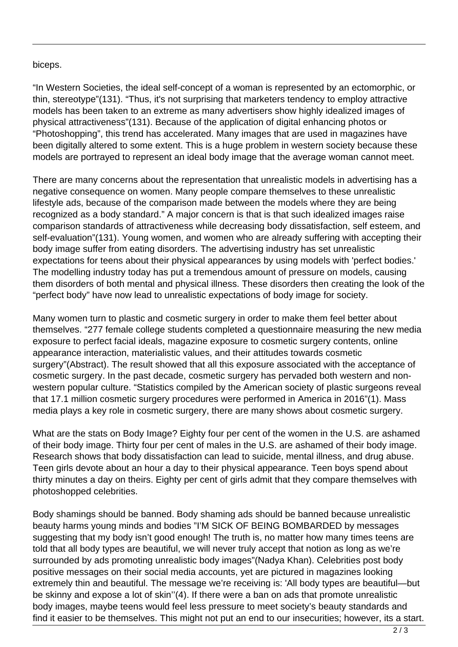## biceps.

"In Western Societies, the ideal self-concept of a woman is represented by an ectomorphic, or thin, stereotype"(131). "Thus, it's not surprising that marketers tendency to employ attractive models has been taken to an extreme as many advertisers show highly idealized images of physical attractiveness"(131). Because of the application of digital enhancing photos or "Photoshopping", this trend has accelerated. Many images that are used in magazines have been digitally altered to some extent. This is a huge problem in western society because these models are portrayed to represent an ideal body image that the average woman cannot meet.

There are many concerns about the representation that unrealistic models in advertising has a negative consequence on women. Many people compare themselves to these unrealistic lifestyle ads, because of the comparison made between the models where they are being recognized as a body standard." A major concern is that is that such idealized images raise comparison standards of attractiveness while decreasing body dissatisfaction, self esteem, and self-evaluation"(131). Young women, and women who are already suffering with accepting their body image suffer from eating disorders. The advertising industry has set unrealistic expectations for teens about their physical appearances by using models with 'perfect bodies.' The modelling industry today has put a tremendous amount of pressure on models, causing them disorders of both mental and physical illness. These disorders then creating the look of the "perfect body" have now lead to unrealistic expectations of body image for society.

Many women turn to plastic and cosmetic surgery in order to make them feel better about themselves. "277 female college students completed a questionnaire measuring the new media exposure to perfect facial ideals, magazine exposure to cosmetic surgery contents, online appearance interaction, materialistic values, and their attitudes towards cosmetic surgery"(Abstract). The result showed that all this exposure associated with the acceptance of cosmetic surgery. In the past decade, cosmetic surgery has pervaded both western and nonwestern popular culture. "Statistics compiled by the American society of plastic surgeons reveal that 17.1 million cosmetic surgery procedures were performed in America in 2016"(1). Mass media plays a key role in cosmetic surgery, there are many shows about cosmetic surgery.

What are the stats on Body Image? Eighty four per cent of the women in the U.S. are ashamed of their body image. Thirty four per cent of males in the U.S. are ashamed of their body image. Research shows that body dissatisfaction can lead to suicide, mental illness, and drug abuse. Teen girls devote about an hour a day to their physical appearance. Teen boys spend about thirty minutes a day on theirs. Eighty per cent of girls admit that they compare themselves with photoshopped celebrities.

Body shamings should be banned. Body shaming ads should be banned because unrealistic beauty harms young minds and bodies "I'M SICK OF BEING BOMBARDED by messages suggesting that my body isn't good enough! The truth is, no matter how many times teens are told that all body types are beautiful, we will never truly accept that notion as long as we're surrounded by ads promoting unrealistic body images"(Nadya Khan). Celebrities post body positive messages on their social media accounts, yet are pictured in magazines looking extremely thin and beautiful. The message we're receiving is: 'All body types are beautiful—but be skinny and expose a lot of skin''(4). If there were a ban on ads that promote unrealistic body images, maybe teens would feel less pressure to meet society's beauty standards and find it easier to be themselves. This might not put an end to our insecurities; however, its a start.